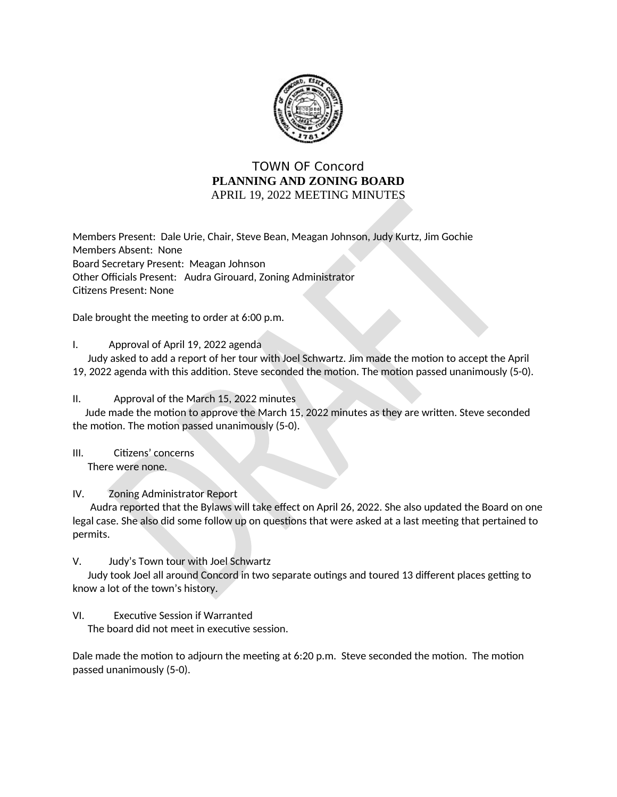

## **TOWN OF Concord** PLANNING AND ZONING BOARD APRIL 19, 2022 MEETING MINUTES

Members Present: Dale Urie, Chair, Steve Bean, Meagan Johnson, Judy Kurtz, Jim Gochie Members Absent: None Board Secretary Present: Meagan Johnson Other Officials Present: Audra Girouard, Zoning Administrator **Citizens Present: None** 

Dale brought the meeting to order at 6:00 p.m.

I. Approval of April 19, 2022 agenda

Judy asked to add a report of her tour with Joel Schwartz. Jim made the motion to accept the April 19, 2022 agenda with this addition. Steve seconded the motion. The motion passed unanimously (5-0).

Approval of the March 15, 2022 minutes  $II.$ 

Jude made the motion to approve the March 15, 2022 minutes as they are written. Steve seconded the motion. The motion passed unanimously (5-0).

 $III.$ Citizens' concerns There were none.

IV. **Zoning Administrator Report** 

Audra reported that the Bylaws will take effect on April 26, 2022. She also updated the Board on one legal case. She also did some follow up on questions that were asked at a last meeting that pertained to permits.

## V. Judy's Town tour with Joel Schwartz

Judy took Joel all around Concord in two separate outings and toured 13 different places getting to know a lot of the town's history.

## VI. **Executive Session if Warranted**

The board did not meet in executive session.

Dale made the motion to adjourn the meeting at 6:20 p.m. Steve seconded the motion. The motion passed unanimously (5-0).